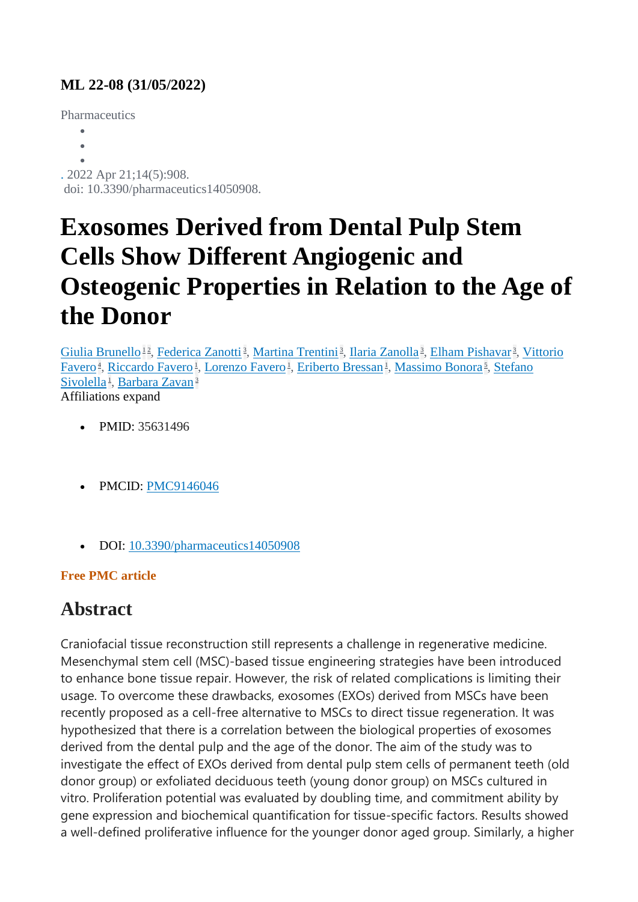### **ML 22-08 (31/05/2022)**

**Pharmaceutics** 

 $\bullet$ 

 $\bullet$ 

 $\bullet$ 

. 2022 Apr 21;14(5):908.

doi: 10.3390/pharmaceutics14050908.

# **Exosomes Derived from Dental Pulp Stem Cells Show Different Angiogenic and Osteogenic Properties in Relation to the Age of the Donor**

[Giulia Brunello](https://pubmed.ncbi.nlm.nih.gov/?term=Brunello+G&cauthor_id=35631496)<sup>[1](https://pubmed.ncbi.nlm.nih.gov/35631496/#affiliation-1)2</sup>[,](https://pubmed.ncbi.nlm.nih.gov/35631496/#affiliation-3) [Federica Zanotti](https://pubmed.ncbi.nlm.nih.gov/?term=Zanotti+F&cauthor_id=35631496)<sup>3</sup>, [Martina Trentini](https://pubmed.ncbi.nlm.nih.gov/?term=Trentini+M&cauthor_id=35631496)<sup>3</sup>, [Ilaria Zanolla](https://pubmed.ncbi.nlm.nih.gov/?term=Zanolla+I&cauthor_id=35631496)<sup>3</sup>, [Elham Pishavar](https://pubmed.ncbi.nlm.nih.gov/?term=Pishavar+E&cauthor_id=35631496)<sup>3</sup>, Vittorio [Favero](https://pubmed.ncbi.nlm.nih.gov/?term=Favero+V&cauthor_id=35631496)<sup>4</sup>[,](https://pubmed.ncbi.nlm.nih.gov/35631496/#affiliation-5) [Riccardo Favero](https://pubmed.ncbi.nlm.nih.gov/?term=Favero+R&cauthor_id=35631496)<sup>1</sup>, [Lorenzo Favero](https://pubmed.ncbi.nlm.nih.gov/?term=Favero+L&cauthor_id=35631496)<sup>1</sup>, [Eriberto Bressan](https://pubmed.ncbi.nlm.nih.gov/?term=Bressan+E&cauthor_id=35631496)<sup>1</sup>, [Massimo Bonora](https://pubmed.ncbi.nlm.nih.gov/?term=Bonora+M&cauthor_id=35631496)<sup>5</sup>, Stefano [Sivolella](https://pubmed.ncbi.nlm.nih.gov/?term=Sivolella+S&cauthor_id=35631496)<sup>1</sup>[,](https://pubmed.ncbi.nlm.nih.gov/35631496/#affiliation-1) [Barbara Zavan](https://pubmed.ncbi.nlm.nih.gov/?term=Zavan+B&cauthor_id=35631496)<sup>[3](https://pubmed.ncbi.nlm.nih.gov/35631496/#affiliation-3)</sup> Affiliations expand

- PMID: 35631496
- PMCID: [PMC9146046](http://www.ncbi.nlm.nih.gov/pmc/articles/pmc9146046/)
- DOI: [10.3390/pharmaceutics14050908](https://doi.org/10.3390/pharmaceutics14050908)

### **Free PMC article**

## **Abstract**

Craniofacial tissue reconstruction still represents a challenge in regenerative medicine. Mesenchymal stem cell (MSC)-based tissue engineering strategies have been introduced to enhance bone tissue repair. However, the risk of related complications is limiting their usage. To overcome these drawbacks, exosomes (EXOs) derived from MSCs have been recently proposed as a cell-free alternative to MSCs to direct tissue regeneration. It was hypothesized that there is a correlation between the biological properties of exosomes derived from the dental pulp and the age of the donor. The aim of the study was to investigate the effect of EXOs derived from dental pulp stem cells of permanent teeth (old donor group) or exfoliated deciduous teeth (young donor group) on MSCs cultured in vitro. Proliferation potential was evaluated by doubling time, and commitment ability by gene expression and biochemical quantification for tissue-specific factors. Results showed a well-defined proliferative influence for the younger donor aged group. Similarly, a higher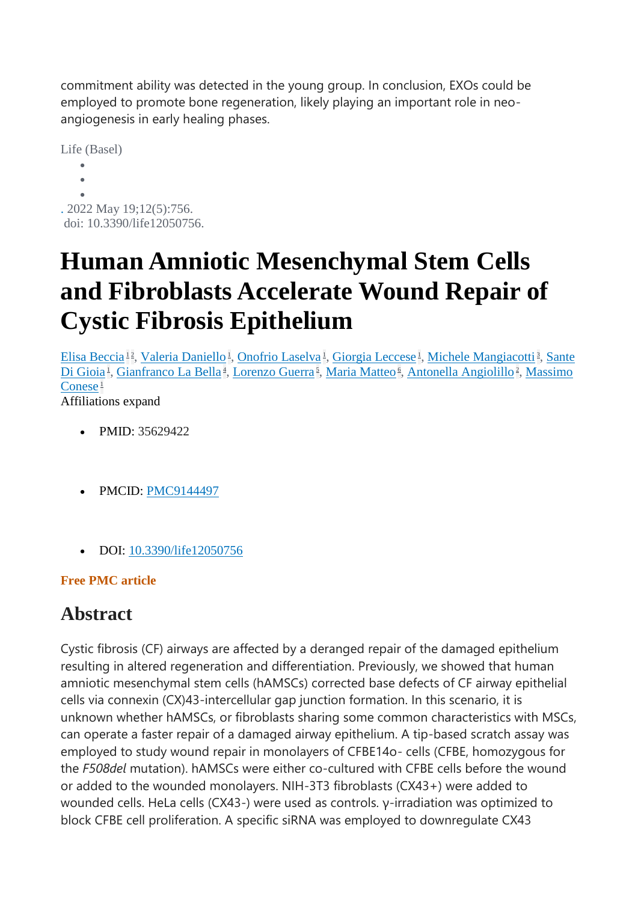commitment ability was detected in the young group. In conclusion, EXOs could be employed to promote bone regeneration, likely playing an important role in neoangiogenesis in early healing phases.

Life (Basel)  $\bullet$  $\bullet$  $\bullet$ . 2022 May 19;12(5):756. doi: 10.3390/life12050756.

# **Human Amniotic Mesenchymal Stem Cells and Fibroblasts Accelerate Wound Repair of Cystic Fibrosis Epithelium**

[Elisa Beccia](https://pubmed.ncbi.nlm.nih.gov/?term=Beccia+E&cauthor_id=35629422)<sup>[1](https://pubmed.ncbi.nlm.nih.gov/35629422/#affiliation-1)2</sup>[,](https://pubmed.ncbi.nlm.nih.gov/35629422/#affiliation-3) [Valeria Daniello](https://pubmed.ncbi.nlm.nih.gov/?term=Daniello+V&cauthor_id=35629422)<sup>1</sup>, [Onofrio Laselva](https://pubmed.ncbi.nlm.nih.gov/?term=Laselva+O&cauthor_id=35629422)<sup>1</sup>, [Giorgia Leccese](https://pubmed.ncbi.nlm.nih.gov/?term=Leccese+G&cauthor_id=35629422)<sup>1</sup>, [Michele Mangiacotti](https://pubmed.ncbi.nlm.nih.gov/?term=Mangiacotti+M&cauthor_id=35629422)<sup>3</sup>, Sante [Di Gioia](https://pubmed.ncbi.nlm.nih.gov/?term=Di+Gioia+S&cauthor_id=35629422)<sup>1</sup>[,](https://pubmed.ncbi.nlm.nih.gov/35629422/#affiliation-2) [Gianfranco La Bella](https://pubmed.ncbi.nlm.nih.gov/?term=La+Bella+G&cauthor_id=35629422)<sup>4</sup>, [Lorenzo Guerra](https://pubmed.ncbi.nlm.nih.gov/?term=Guerra+L&cauthor_id=35629422)<sup>5</sup>, [Maria Matteo](https://pubmed.ncbi.nlm.nih.gov/?term=Matteo+M&cauthor_id=35629422)<sup>6</sup>, [Antonella Angiolillo](https://pubmed.ncbi.nlm.nih.gov/?term=Angiolillo+A&cauthor_id=35629422)<sup>2</sup>, Massimo  $\rm{Conese}^{\perp}$  $\rm{Conese}^{\perp}$  $\rm{Conese}^{\perp}$ 

Affiliations expand

- PMID: 35629422
- PMCID: [PMC9144497](http://www.ncbi.nlm.nih.gov/pmc/articles/pmc9144497/)
- DOI: [10.3390/life12050756](https://doi.org/10.3390/life12050756)

#### **Free PMC article**

### **Abstract**

Cystic fibrosis (CF) airways are affected by a deranged repair of the damaged epithelium resulting in altered regeneration and differentiation. Previously, we showed that human amniotic mesenchymal stem cells (hAMSCs) corrected base defects of CF airway epithelial cells via connexin (CX)43-intercellular gap junction formation. In this scenario, it is unknown whether hAMSCs, or fibroblasts sharing some common characteristics with MSCs, can operate a faster repair of a damaged airway epithelium. A tip-based scratch assay was employed to study wound repair in monolayers of CFBE14o- cells (CFBE, homozygous for the *F508del* mutation). hAMSCs were either co-cultured with CFBE cells before the wound or added to the wounded monolayers. NIH-3T3 fibroblasts (CX43+) were added to wounded cells. HeLa cells (CX43-) were used as controls. γ-irradiation was optimized to block CFBE cell proliferation. A specific siRNA was employed to downregulate CX43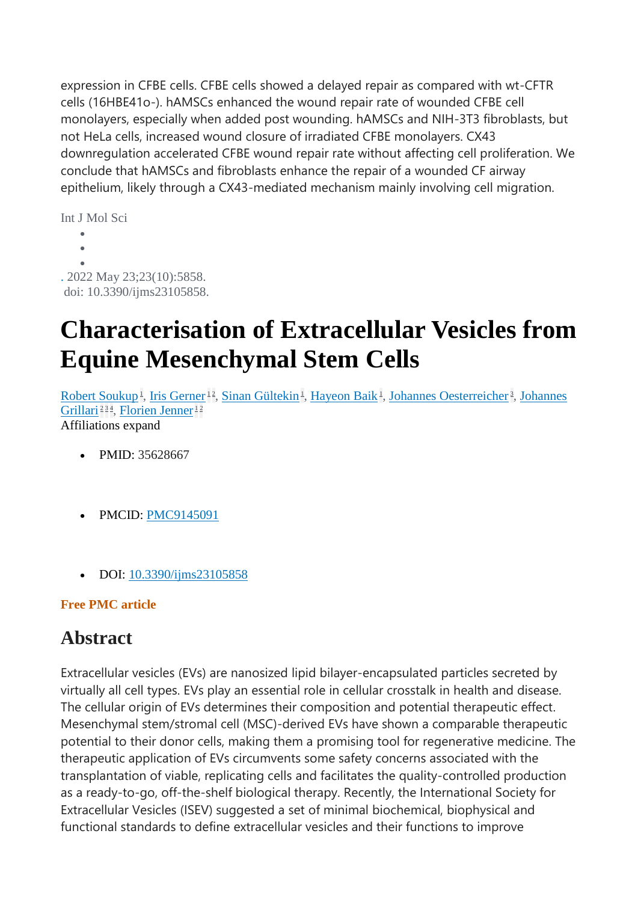expression in CFBE cells. CFBE cells showed a delayed repair as compared with wt-CFTR cells (16HBE41o-). hAMSCs enhanced the wound repair rate of wounded CFBE cell monolayers, especially when added post wounding. hAMSCs and NIH-3T3 fibroblasts, but not HeLa cells, increased wound closure of irradiated CFBE monolayers. CX43 downregulation accelerated CFBE wound repair rate without affecting cell proliferation. We conclude that hAMSCs and fibroblasts enhance the repair of a wounded CF airway epithelium, likely through a CX43-mediated mechanism mainly involving cell migration.

```
Int J Mol Sci
           \bullet\ddot{\phantom{a}}\bullet
```
. 2022 May 23;23(10):5858. doi: 10.3390/ijms23105858.

## **Characterisation of Extracellular Vesicles from Equine Mesenchymal Stem Cells**

[Robert Soukup](https://pubmed.ncbi.nlm.nih.gov/?term=Soukup+R&cauthor_id=35628667)<sup>1</sup>[,](https://pubmed.ncbi.nlm.nih.gov/35628667/#affiliation-3) [Iris Gerner](https://pubmed.ncbi.nlm.nih.gov/?term=Gerner+I&cauthor_id=35628667)<sup>[1](https://pubmed.ncbi.nlm.nih.gov/35628667/#affiliation-1)2</sup>, [Sinan Gültekin](https://pubmed.ncbi.nlm.nih.gov/?term=G%C3%BCltekin+S&cauthor_id=35628667)<sup>1</sup>, [Hayeon Baik](https://pubmed.ncbi.nlm.nih.gov/?term=Baik+H&cauthor_id=35628667)<sup>1</sup>, [Johannes Oesterreicher](https://pubmed.ncbi.nlm.nih.gov/?term=Oesterreicher+J&cauthor_id=35628667)<sup>3</sup>, Johannes [Grillari](https://pubmed.ncbi.nlm.nih.gov/?term=Grillari+J&cauthor_id=35628667)<sup>[2](https://pubmed.ncbi.nlm.nih.gov/35628667/#affiliation-2)[3](https://pubmed.ncbi.nlm.nih.gov/35628667/#affiliation-3)4</sup>[,](https://pubmed.ncbi.nlm.nih.gov/35628667/#affiliation-4) [Florien Jenner](https://pubmed.ncbi.nlm.nih.gov/?term=Jenner+F&cauthor_id=35628667)<sup>[1](https://pubmed.ncbi.nlm.nih.gov/35628667/#affiliation-1)2</sup> Affiliations expand

- PMID: 35628667
- PMCID: [PMC9145091](http://www.ncbi.nlm.nih.gov/pmc/articles/pmc9145091/)
- DOI: [10.3390/ijms23105858](https://doi.org/10.3390/ijms23105858)

#### **Free PMC article**

### **Abstract**

Extracellular vesicles (EVs) are nanosized lipid bilayer-encapsulated particles secreted by virtually all cell types. EVs play an essential role in cellular crosstalk in health and disease. The cellular origin of EVs determines their composition and potential therapeutic effect. Mesenchymal stem/stromal cell (MSC)-derived EVs have shown a comparable therapeutic potential to their donor cells, making them a promising tool for regenerative medicine. The therapeutic application of EVs circumvents some safety concerns associated with the transplantation of viable, replicating cells and facilitates the quality-controlled production as a ready-to-go, off-the-shelf biological therapy. Recently, the International Society for Extracellular Vesicles (ISEV) suggested a set of minimal biochemical, biophysical and functional standards to define extracellular vesicles and their functions to improve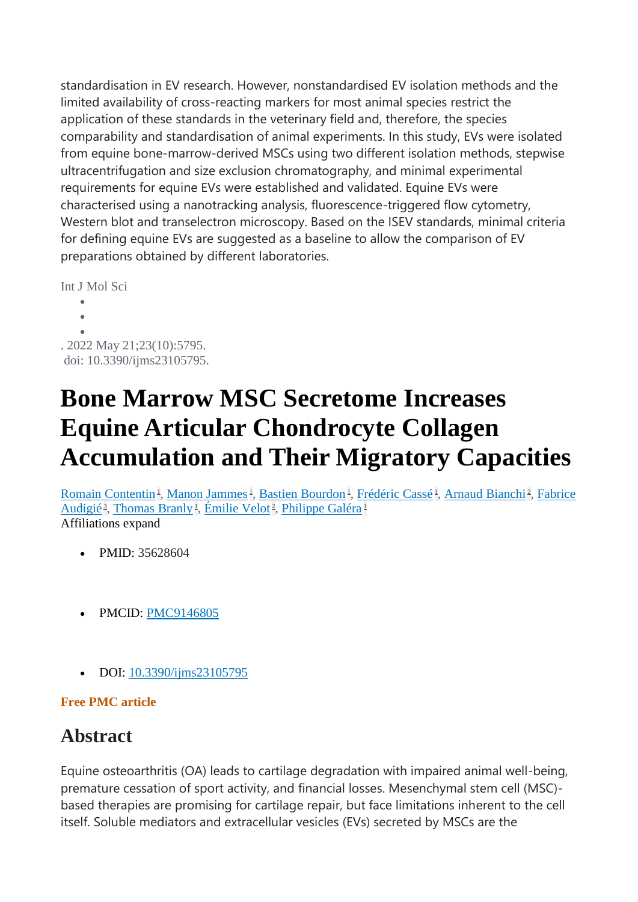standardisation in EV research. However, nonstandardised EV isolation methods and the limited availability of cross-reacting markers for most animal species restrict the application of these standards in the veterinary field and, therefore, the species comparability and standardisation of animal experiments. In this study, EVs were isolated from equine bone-marrow-derived MSCs using two different isolation methods, stepwise ultracentrifugation and size exclusion chromatography, and minimal experimental requirements for equine EVs were established and validated. Equine EVs were characterised using a nanotracking analysis, fluorescence-triggered flow cytometry, Western blot and transelectron microscopy. Based on the ISEV standards, minimal criteria for defining equine EVs are suggested as a baseline to allow the comparison of EV preparations obtained by different laboratories.

Int J Mol Sci

 $\bullet$  $\bullet$  $\bullet$ . 2022 May 21;23(10):5795.

doi: 10.3390/ijms23105795.

## **Bone Marrow MSC Secretome Increases Equine Articular Chondrocyte Collagen Accumulation and Their Migratory Capacities**

[Romain Contentin](https://pubmed.ncbi.nlm.nih.gov/?term=Contentin+R&cauthor_id=35628604)<sup>1</sup>[,](https://pubmed.ncbi.nlm.nih.gov/35628604/#affiliation-2) [Manon Jammes](https://pubmed.ncbi.nlm.nih.gov/?term=Jammes+M&cauthor_id=35628604)<sup>1</sup>, [Bastien Bourdon](https://pubmed.ncbi.nlm.nih.gov/?term=Bourdon+B&cauthor_id=35628604)<sup>1</sup>, [Frédéric Cassé](https://pubmed.ncbi.nlm.nih.gov/?term=Cass%C3%A9+F&cauthor_id=35628604)<sup>1</sup>, [Arnaud Bianchi](https://pubmed.ncbi.nlm.nih.gov/?term=Bianchi+A&cauthor_id=35628604)<sup>2</sup>, Fabrice [Audigié](https://pubmed.ncbi.nlm.nih.gov/?term=Audigi%C3%A9+F&cauthor_id=35628604)<sup>3</sup>[,](https://pubmed.ncbi.nlm.nih.gov/35628604/#affiliation-2) [Thomas Branly](https://pubmed.ncbi.nlm.nih.gov/?term=Branly+T&cauthor_id=35628604)<sup>1</sup>, [Émilie Velot](https://pubmed.ncbi.nlm.nih.gov/?term=Velot+%C3%89&cauthor_id=35628604)<sup>2</sup>, [Philippe Galéra](https://pubmed.ncbi.nlm.nih.gov/?term=Gal%C3%A9ra+P&cauthor_id=35628604)<sup>[1](https://pubmed.ncbi.nlm.nih.gov/35628604/#affiliation-1)</sup> Affiliations expand

- PMID: 35628604
- PMCID: [PMC9146805](http://www.ncbi.nlm.nih.gov/pmc/articles/pmc9146805/)
- DOI: [10.3390/ijms23105795](https://doi.org/10.3390/ijms23105795)

#### **Free PMC article**

## **Abstract**

Equine osteoarthritis (OA) leads to cartilage degradation with impaired animal well-being, premature cessation of sport activity, and financial losses. Mesenchymal stem cell (MSC) based therapies are promising for cartilage repair, but face limitations inherent to the cell itself. Soluble mediators and extracellular vesicles (EVs) secreted by MSCs are the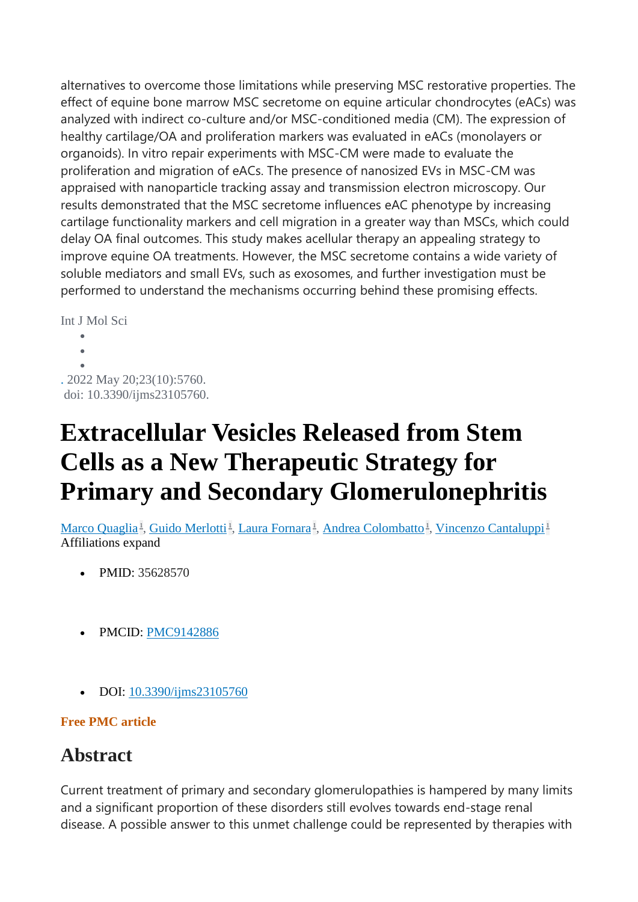alternatives to overcome those limitations while preserving MSC restorative properties. The effect of equine bone marrow MSC secretome on equine articular chondrocytes (eACs) was analyzed with indirect co-culture and/or MSC-conditioned media (CM). The expression of healthy cartilage/OA and proliferation markers was evaluated in eACs (monolayers or organoids). In vitro repair experiments with MSC-CM were made to evaluate the proliferation and migration of eACs. The presence of nanosized EVs in MSC-CM was appraised with nanoparticle tracking assay and transmission electron microscopy. Our results demonstrated that the MSC secretome influences eAC phenotype by increasing cartilage functionality markers and cell migration in a greater way than MSCs, which could delay OA final outcomes. This study makes acellular therapy an appealing strategy to improve equine OA treatments. However, the MSC secretome contains a wide variety of soluble mediators and small EVs, such as exosomes, and further investigation must be performed to understand the mechanisms occurring behind these promising effects.

Int J Mol Sci

 $\bullet$  $\lambda$  $\bullet$ . 2022 May 20;23(10):5760. doi: 10.3390/ijms23105760.

# **Extracellular Vesicles Released from Stem Cells as a New Therapeutic Strategy for Primary and Secondary Glomerulonephritis**

[Marco Quaglia](https://pubmed.ncbi.nlm.nih.gov/?term=Quaglia+M&cauthor_id=35628570)<sup>1</sup>[,](https://pubmed.ncbi.nlm.nih.gov/35628570/#affiliation-1) [Guido Merlotti](https://pubmed.ncbi.nlm.nih.gov/?term=Merlotti+G&cauthor_id=35628570)<sup>1</sup>, [Laura Fornara](https://pubmed.ncbi.nlm.nih.gov/?term=Fornara+L&cauthor_id=35628570)<sup>1</sup>, [Andrea Colombatto](https://pubmed.ncbi.nlm.nih.gov/?term=Colombatto+A&cauthor_id=35628570)<sup>1</sup>, [Vincenzo Cantaluppi](https://pubmed.ncbi.nlm.nih.gov/?term=Cantaluppi+V&cauthor_id=35628570)<sup>[1](https://pubmed.ncbi.nlm.nih.gov/35628570/#affiliation-1)</sup> Affiliations expand

- PMID: 35628570
- PMCID: [PMC9142886](http://www.ncbi.nlm.nih.gov/pmc/articles/pmc9142886/)
- DOI: [10.3390/ijms23105760](https://doi.org/10.3390/ijms23105760)

### **Free PMC article**

## **Abstract**

Current treatment of primary and secondary glomerulopathies is hampered by many limits and a significant proportion of these disorders still evolves towards end-stage renal disease. A possible answer to this unmet challenge could be represented by therapies with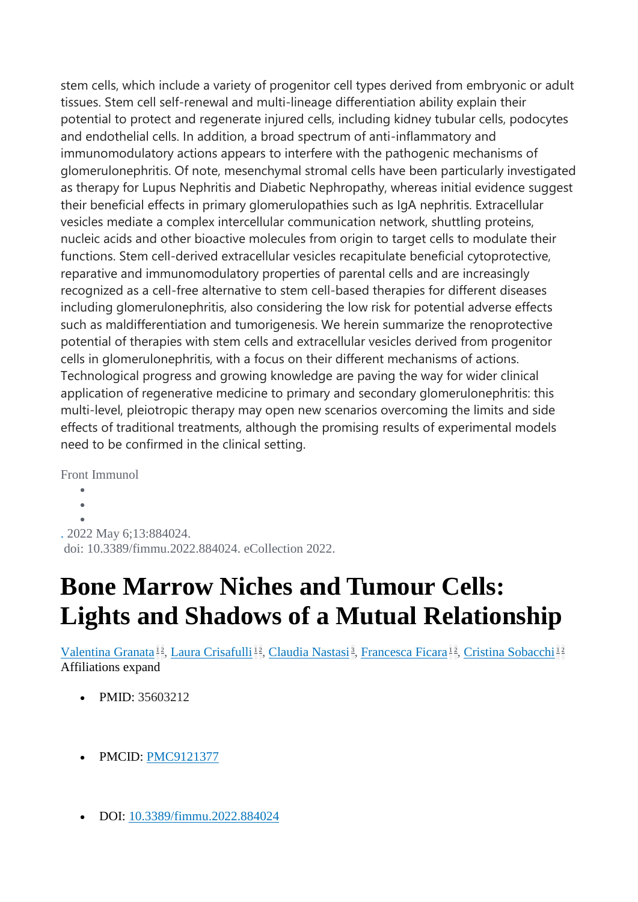stem cells, which include a variety of progenitor cell types derived from embryonic or adult tissues. Stem cell self-renewal and multi-lineage differentiation ability explain their potential to protect and regenerate injured cells, including kidney tubular cells, podocytes and endothelial cells. In addition, a broad spectrum of anti-inflammatory and immunomodulatory actions appears to interfere with the pathogenic mechanisms of glomerulonephritis. Of note, mesenchymal stromal cells have been particularly investigated as therapy for Lupus Nephritis and Diabetic Nephropathy, whereas initial evidence suggest their beneficial effects in primary glomerulopathies such as IgA nephritis. Extracellular vesicles mediate a complex intercellular communication network, shuttling proteins, nucleic acids and other bioactive molecules from origin to target cells to modulate their functions. Stem cell-derived extracellular vesicles recapitulate beneficial cytoprotective, reparative and immunomodulatory properties of parental cells and are increasingly recognized as a cell-free alternative to stem cell-based therapies for different diseases including glomerulonephritis, also considering the low risk for potential adverse effects such as maldifferentiation and tumorigenesis. We herein summarize the renoprotective potential of therapies with stem cells and extracellular vesicles derived from progenitor cells in glomerulonephritis, with a focus on their different mechanisms of actions. Technological progress and growing knowledge are paving the way for wider clinical application of regenerative medicine to primary and secondary glomerulonephritis: this multi-level, pleiotropic therapy may open new scenarios overcoming the limits and side effects of traditional treatments, although the promising results of experimental models need to be confirmed in the clinical setting.

Front Immunol

 $\bullet$  $\bullet$ 

 $\bullet$ 

. 2022 May 6;13:884024.

doi: 10.3389/fimmu.2022.884024. eCollection 2022.

# **Bone Marrow Niches and Tumour Cells: Lights and Shadows of a Mutual Relationship**

[Valentina Granata](https://pubmed.ncbi.nlm.nih.gov/?term=Granata+V&cauthor_id=35603212)<sup>[1](https://pubmed.ncbi.nlm.nih.gov/35603212/#affiliation-1)2</sup>[,](https://pubmed.ncbi.nlm.nih.gov/35603212/#affiliation-2) [Laura Crisafulli](https://pubmed.ncbi.nlm.nih.gov/?term=Crisafulli+L&cauthor_id=35603212)<sup>12</sup>, [Claudia Nastasi](https://pubmed.ncbi.nlm.nih.gov/?term=Nastasi+C&cauthor_id=35603212)<sup>3</sup>, [Francesca Ficara](https://pubmed.ncbi.nlm.nih.gov/?term=Ficara+F&cauthor_id=35603212)<sup>12</sup>, [Cristina Sobacchi](https://pubmed.ncbi.nlm.nih.gov/?term=Sobacchi+C&cauthor_id=35603212)<sup>1[2](https://pubmed.ncbi.nlm.nih.gov/35603212/#affiliation-2)</sup> Affiliations expand

- PMID: 35603212
- PMCID: [PMC9121377](http://www.ncbi.nlm.nih.gov/pmc/articles/pmc9121377/)
- DOI: [10.3389/fimmu.2022.884024](https://doi.org/10.3389/fimmu.2022.884024)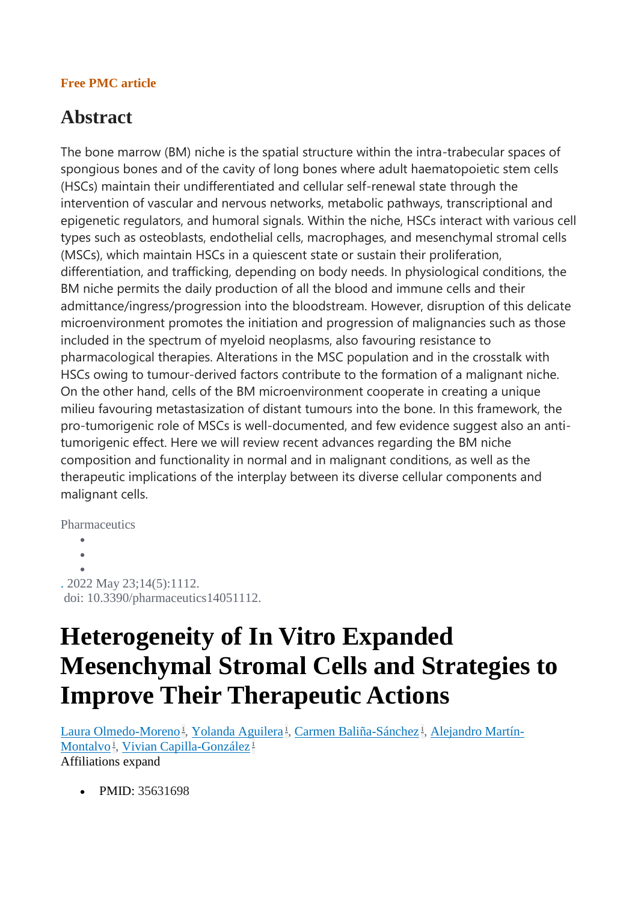#### **Free PMC article**

## **Abstract**

The bone marrow (BM) niche is the spatial structure within the intra-trabecular spaces of spongious bones and of the cavity of long bones where adult haematopoietic stem cells (HSCs) maintain their undifferentiated and cellular self-renewal state through the intervention of vascular and nervous networks, metabolic pathways, transcriptional and epigenetic regulators, and humoral signals. Within the niche, HSCs interact with various cell types such as osteoblasts, endothelial cells, macrophages, and mesenchymal stromal cells (MSCs), which maintain HSCs in a quiescent state or sustain their proliferation, differentiation, and trafficking, depending on body needs. In physiological conditions, the BM niche permits the daily production of all the blood and immune cells and their admittance/ingress/progression into the bloodstream. However, disruption of this delicate microenvironment promotes the initiation and progression of malignancies such as those included in the spectrum of myeloid neoplasms, also favouring resistance to pharmacological therapies. Alterations in the MSC population and in the crosstalk with HSCs owing to tumour-derived factors contribute to the formation of a malignant niche. On the other hand, cells of the BM microenvironment cooperate in creating a unique milieu favouring metastasization of distant tumours into the bone. In this framework, the pro-tumorigenic role of MSCs is well-documented, and few evidence suggest also an antitumorigenic effect. Here we will review recent advances regarding the BM niche composition and functionality in normal and in malignant conditions, as well as the therapeutic implications of the interplay between its diverse cellular components and malignant cells.

**Pharmaceutics** 

```
\bullet\ddot{\phantom{a}}\bullet. 2022 May 23;14(5):1112.
doi: 10.3390/pharmaceutics14051112.
```
## **Heterogeneity of In Vitro Expanded Mesenchymal Stromal Cells and Strategies to Improve Their Therapeutic Actions**

[Laura Olmedo-Moreno](https://pubmed.ncbi.nlm.nih.gov/?term=Olmedo-Moreno+L&cauthor_id=35631698)<sup>1</sup>[,](https://pubmed.ncbi.nlm.nih.gov/35631698/#affiliation-1) [Yolanda Aguilera](https://pubmed.ncbi.nlm.nih.gov/?term=Aguilera+Y&cauthor_id=35631698)<sup>1</sup>, [Carmen Baliña-Sánchez](https://pubmed.ncbi.nlm.nih.gov/?term=Bali%C3%B1a-S%C3%A1nchez+C&cauthor_id=35631698)<sup>1</sup>, [Alejandro Martín-](https://pubmed.ncbi.nlm.nih.gov/?term=Mart%C3%ADn-Montalvo+A&cauthor_id=35631698)[Montalvo](https://pubmed.ncbi.nlm.nih.gov/?term=Mart%C3%ADn-Montalvo+A&cauthor_id=35631698)<sup>1</sup>[,](https://pubmed.ncbi.nlm.nih.gov/35631698/#affiliation-1) [Vivian Capilla-González](https://pubmed.ncbi.nlm.nih.gov/?term=Capilla-Gonz%C3%A1lez+V&cauthor_id=35631698)<sup>[1](https://pubmed.ncbi.nlm.nih.gov/35631698/#affiliation-1)</sup> Affiliations expand

• PMID: 35631698